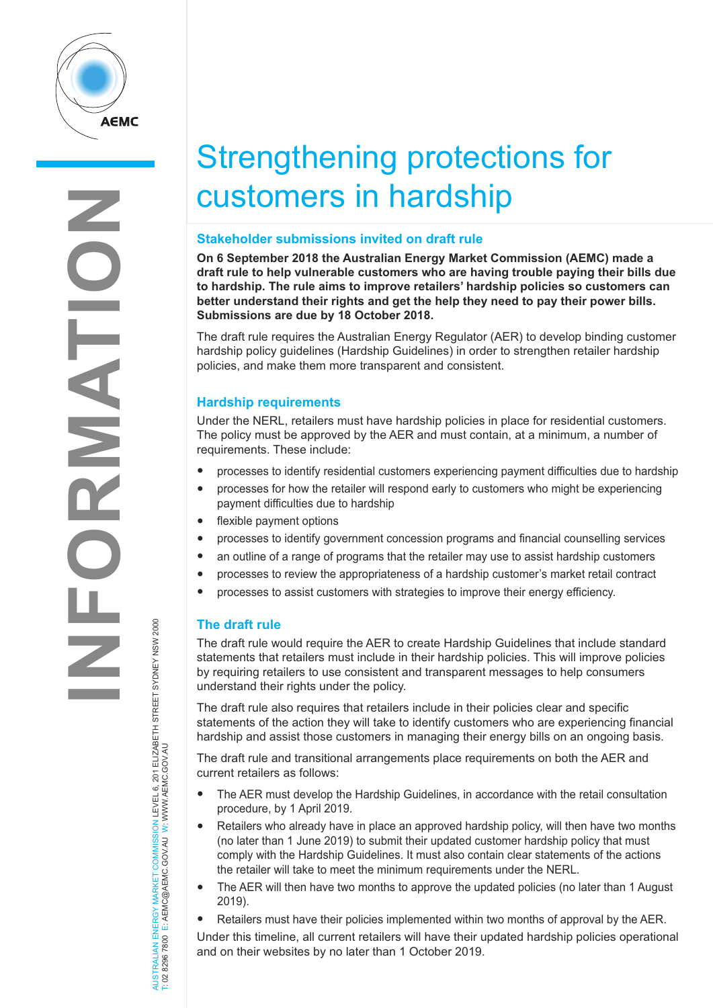

# Strengthening protections for customers in hardship

## **Stakeholder submissions invited on draft rule**

**On 6 September 2018 the Australian Energy Market Commission (AEMC) made a draft rule to help vulnerable customers who are having trouble paying their bills due to hardship. The rule aims to improve retailers' hardship policies so customers can better understand their rights and get the help they need to pay their power bills. Submissions are due by 18 October 2018.**

The draft rule requires the Australian Energy Regulator (AER) to develop binding customer hardship policy guidelines (Hardship Guidelines) in order to strengthen retailer hardship policies, and make them more transparent and consistent.

## **Hardship requirements**

Under the NERL, retailers must have hardship policies in place for residential customers. The policy must be approved by the AER and must contain, at a minimum, a number of requirements. These include:

- processes to identify residential customers experiencing payment difficulties due to hardship
- processes for how the retailer will respond early to customers who might be experiencing payment difficulties due to hardship
- flexible payment options
- processes to identify government concession programs and financial counselling services
- an outline of <sup>a</sup> range of programs that the retailer may use to assist hardship customers
- processes to review the appropriateness of <sup>a</sup> hardship customer's market retail contract
- processes to assist customers with strategies to improve their energy efficiency.

# **The draft rule**

The draft rule would require the AER to create Hardship Guidelines that include standard statements that retailers must include in their hardship policies. This will improve policies by requiring retailers to use consistent and transparent messages to help consumers understand their rights under the policy.

The draft rule also requires that retailers include in their policies clear and specific statements of the action they will take to identify customers who are experiencing financial hardship and assist those customers in managing their energy bills on an ongoing basis.

The draft rule and transitional arrangements place requirements on both the AER and current retailers as follows:

- The AER must develop the Hardship Guidelines, in accordance with the retail consultation procedure, by 1 April 2019.
- Retailers who already have in place an approved hardship policy, will then have two months (no later than 1 June 2019) to submit their updated customer hardship policy that must comply with the Hardship Guidelines. It must also contain clear statements of the actions the retailer will take to meet the minimum requirements under the NERL.
- The AER will then have two months to approve the updated policies (no later than 1 August 2019).
- Retailers must have their policies implemented within two months of approval by the AER.

Under this timeline, all current retailers will have their updated hardship policies operational and on their websites by no later than 1 October 2019.

AUSTRALIAN ENERGY MARKET COMMISSION LEVEL 6, 201 ELIZABETH STREET SYDNEY NSW 2000 W.AEMC.GOV.AU W T: 02 8296 7800 E: AEMC@AEMC.GOV.AU W: W AUSTRALIAN ENERGY MARKET T: 02 8296 7800